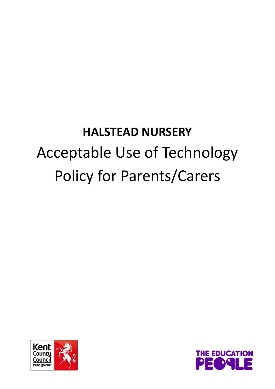## **HALSTEAD NURSERY** Acceptable Use of Technology Policy for Parents/Carers



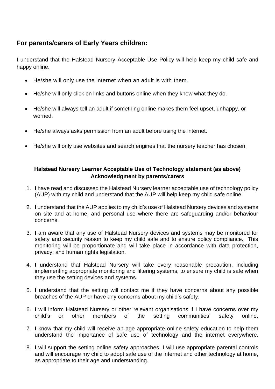## **For parents/carers of Early Years children:**

I understand that the Halstead Nursery Acceptable Use Policy will help keep my child safe and happy online.

- He/she will only use the internet when an adult is with them.
- He/she will only click on links and buttons online when they know what they do.
- He/she will always tell an adult if something online makes them feel upset, unhappy, or worried.
- He/she always asks permission from an adult before using the internet.
- He/she will only use websites and search engines that the nursery teacher has chosen.

## **Halstead Nursery Learner Acceptable Use of Technology statement (as above) Acknowledgment by parents/carers**

- 1. I have read and discussed the Halstead Nursery learner acceptable use of technology policy (AUP) with my child and understand that the AUP will help keep my child safe online.
- 2. I understand that the AUP applies to my child's use of Halstead Nursery devices and systems on site and at home, and personal use where there are safeguarding and/or behaviour concerns.
- 3. I am aware that any use of Halstead Nursery devices and systems may be monitored for safety and security reason to keep my child safe and to ensure policy compliance. This monitoring will be proportionate and will take place in accordance with data protection, privacy, and human rights legislation.
- 4. I understand that Halstead Nursery will take every reasonable precaution, including implementing appropriate monitoring and filtering systems, to ensure my child is safe when they use the setting devices and systems.
- 5. I understand that the setting will contact me if they have concerns about any possible breaches of the AUP or have any concerns about my child's safety.
- 6. I will inform Halstead Nursery or other relevant organisations if I have concerns over my child's or other members of the setting communities' safety online.
- 7. I know that my child will receive an age appropriate online safety education to help them understand the importance of safe use of technology and the internet everywhere.
- 8. I will support the setting online safety approaches. I will use appropriate parental controls and will encourage my child to adopt safe use of the internet and other technology at home, as appropriate to their age and understanding.